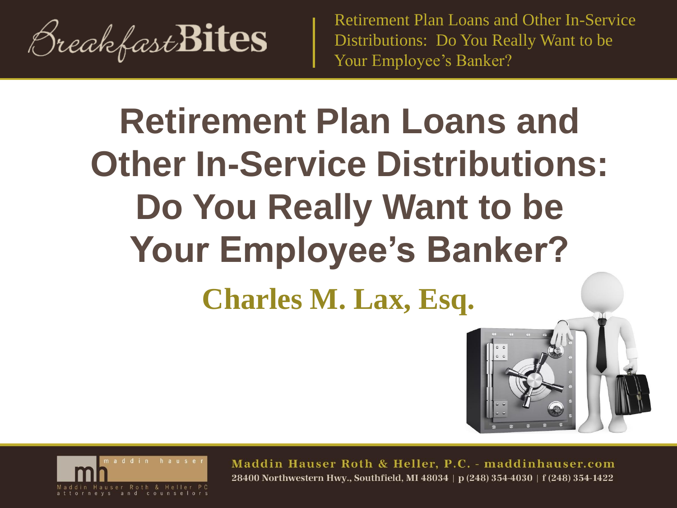

# **Charles M. Lax, Esq. Retirement Plan Loans and Other In-Service Distributions: Do You Really Want to be Your Employee's Banker?**





Maddin Hauser Roth & Heller, P.C. - maddinhauser.com 28400 Northwestern Hwy., Southfield, MI 48034 | p (248) 354-4030 | f (248) 354-1422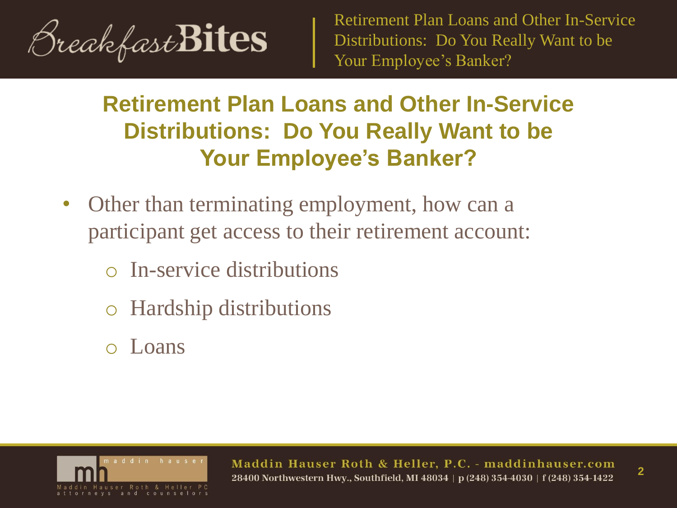

## **Retirement Plan Loans and Other In-Service Distributions: Do You Really Want to be Your Employee's Banker?**

- Other than terminating employment, how can a participant get access to their retirement account:
	- In-service distributions
	- Hardship distributions
	- Loans

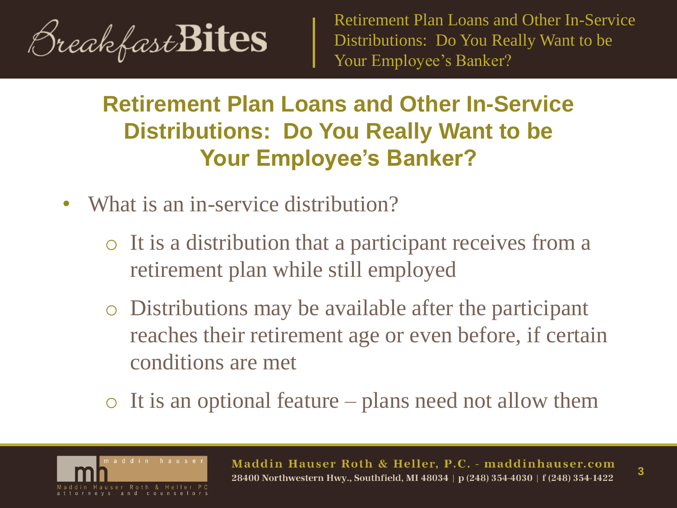

## **Retirement Plan Loans and Other In-Service Distributions: Do You Really Want to be Your Employee's Banker?**

- What is an in-service distribution?
	- o It is a distribution that a participant receives from a retirement plan while still employed
	- o Distributions may be available after the participant reaches their retirement age or even before, if certain conditions are met
	- $\circ$  It is an optional feature plans need not allow them

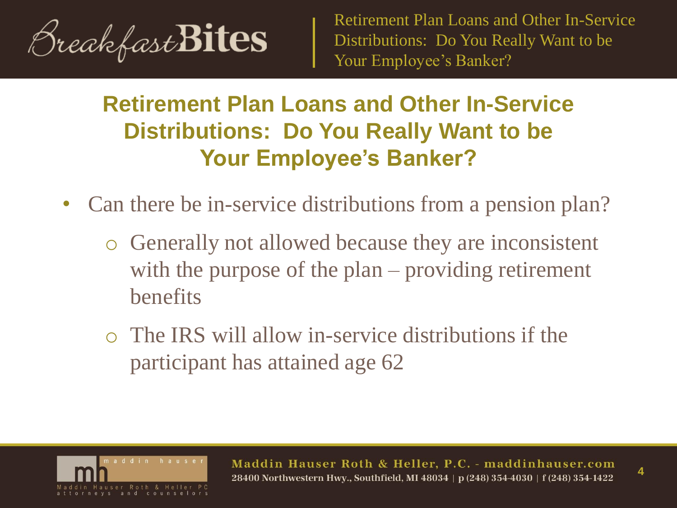

## **Retirement Plan Loans and Other In-Service Distributions: Do You Really Want to be Your Employee's Banker?**

- Can there be in-service distributions from a pension plan?
	- o Generally not allowed because they are inconsistent with the purpose of the plan – providing retirement benefits
	- o The IRS will allow in-service distributions if the participant has attained age 62

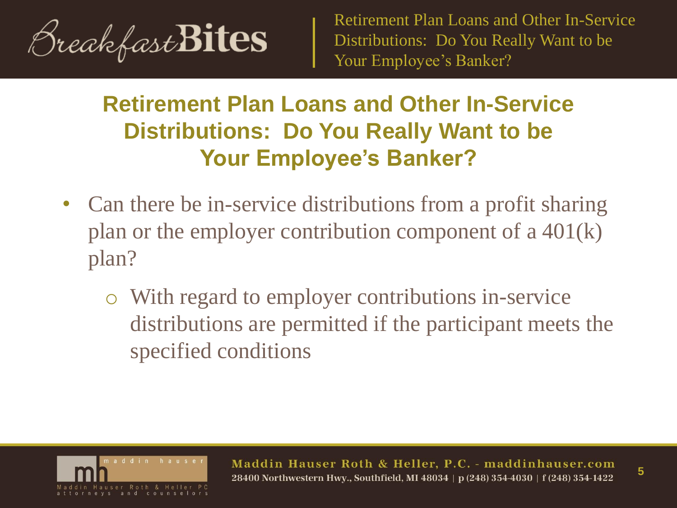

## **Retirement Plan Loans and Other In-Service Distributions: Do You Really Want to be Your Employee's Banker?**

- Can there be in-service distributions from a profit sharing plan or the employer contribution component of a 401(k) plan?
	- o With regard to employer contributions in-service distributions are permitted if the participant meets the specified conditions

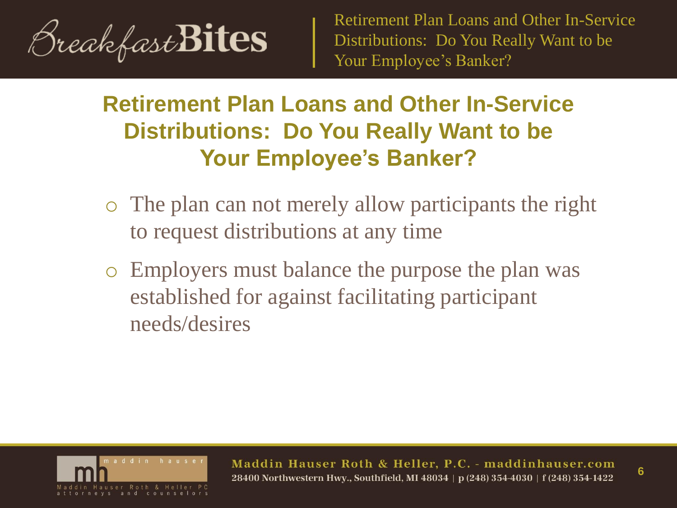

## **Retirement Plan Loans and Other In-Service Distributions: Do You Really Want to be Your Employee's Banker?**

- o The plan can not merely allow participants the right to request distributions at any time
- o Employers must balance the purpose the plan was established for against facilitating participant needs/desires



Maddin Hauser Roth & Heller, P.C. - maddinhauser.com 28400 Northwestern Hwy., Southfield, MI 48034 | p (248) 354-4030 | f (248) 354-1422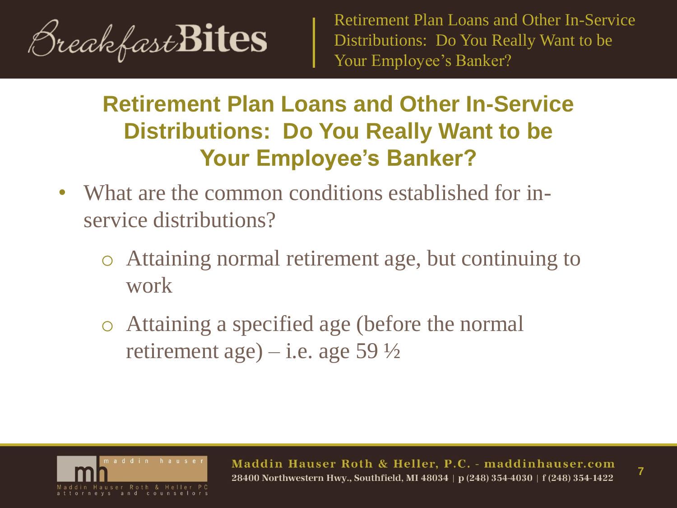

## **Retirement Plan Loans and Other In-Service Distributions: Do You Really Want to be Your Employee's Banker?**

- What are the common conditions established for inservice distributions?
	- o Attaining normal retirement age, but continuing to work
	- o Attaining a specified age (before the normal retirement age) – i.e. age 59  $\frac{1}{2}$

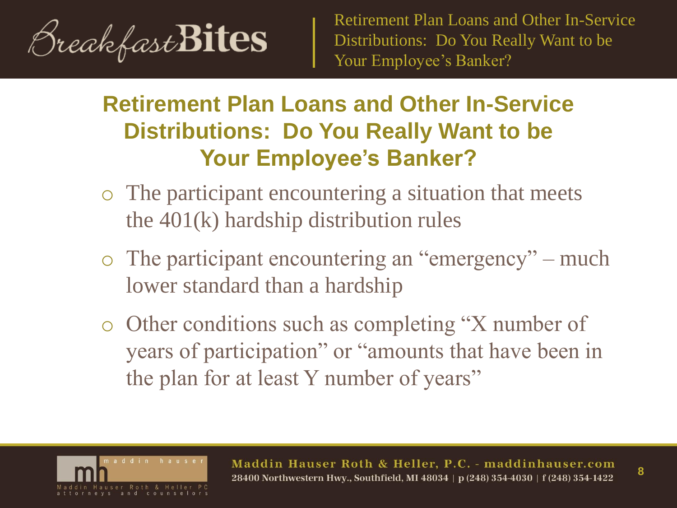

- o The participant encountering a situation that meets the 401(k) hardship distribution rules
- o The participant encountering an "emergency" much lower standard than a hardship
- o Other conditions such as completing "X number of years of participation" or "amounts that have been in the plan for at least Y number of years"

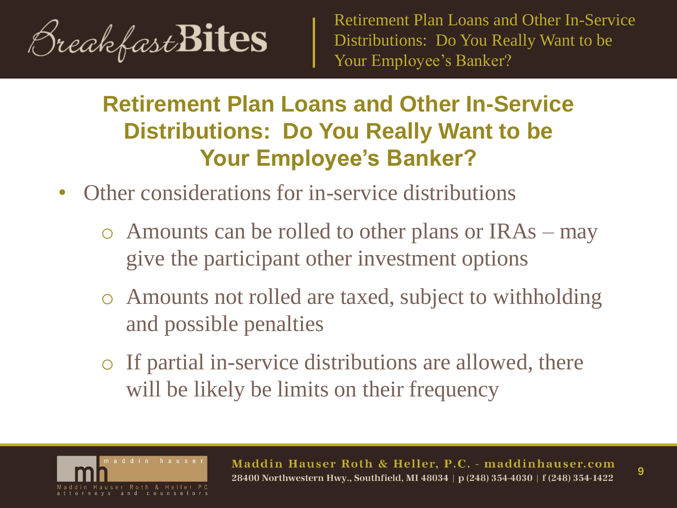

## **Retirement Plan Loans and Other In-Service Distributions: Do You Really Want to be Your Employee's Banker?**

- Other considerations for in-service distributions
	- o Amounts can be rolled to other plans or IRAs may give the participant other investment options
	- o Amounts not rolled are taxed, subject to withholding and possible penalties
	- o If partial in-service distributions are allowed, there will be likely be limits on their frequency



Maddin Hauser Roth & Heller, P.C. - maddinhauser.com 28400 Northwestern Hwy., Southfield, MI 48034 | p (248) 354-4030 | f (248) 354-1422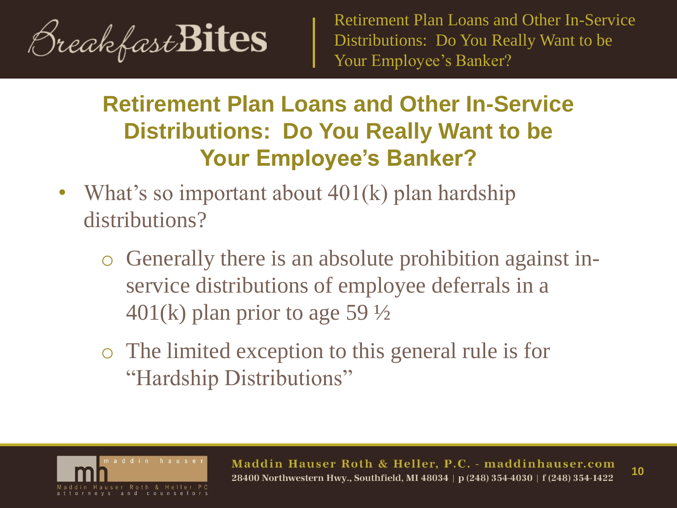

- What's so important about 401(k) plan hardship distributions?
	- o Generally there is an absolute prohibition against inservice distributions of employee deferrals in a  $401(k)$  plan prior to age 59  $\frac{1}{2}$
	- o The limited exception to this general rule is for "Hardship Distributions"

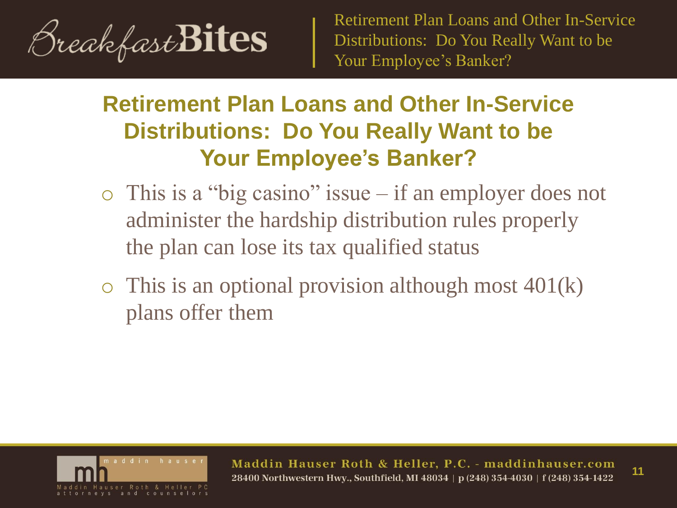

## **Retirement Plan Loans and Other In-Service Distributions: Do You Really Want to be Your Employee's Banker?**

- o This is a "big casino" issue if an employer does not administer the hardship distribution rules properly the plan can lose its tax qualified status
- $\circ$  This is an optional provision although most 401(k) plans offer them



Maddin Hauser Roth & Heller, P.C. - maddinhauser.com **11**28400 Northwestern Hwy., Southfield, MI 48034 | p (248) 354-4030 | f (248) 354-1422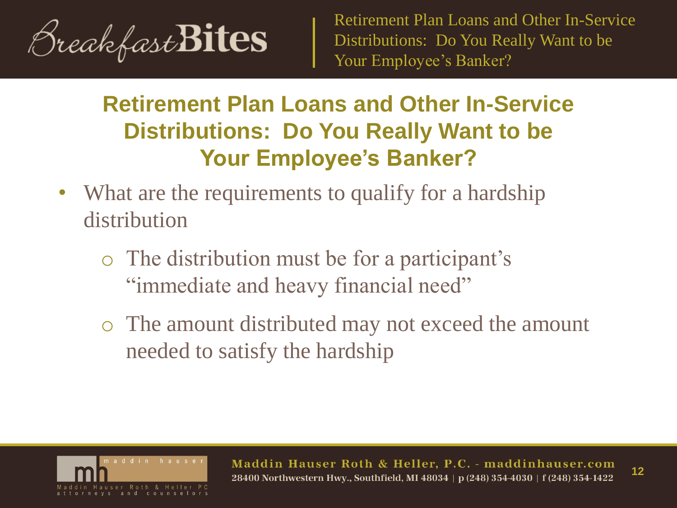

- What are the requirements to qualify for a hardship distribution
	- o The distribution must be for a participant's "immediate and heavy financial need"
	- o The amount distributed may not exceed the amount needed to satisfy the hardship

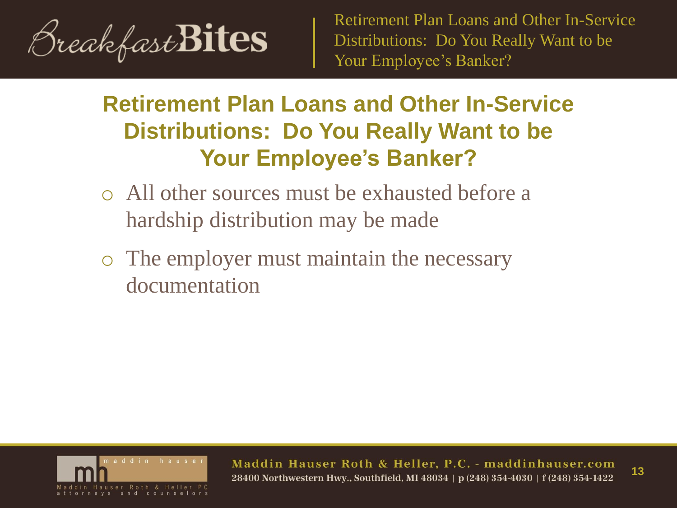

## **Retirement Plan Loans and Other In-Service Distributions: Do You Really Want to be Your Employee's Banker?**

- o All other sources must be exhausted before a hardship distribution may be made
- o The employer must maintain the necessary documentation



Maddin Hauser Roth & Heller, P.C. - maddinhauser.com **13**28400 Northwestern Hwv., Southfield, MI 48034 | p (248) 354-4030 | f (248) 354-1422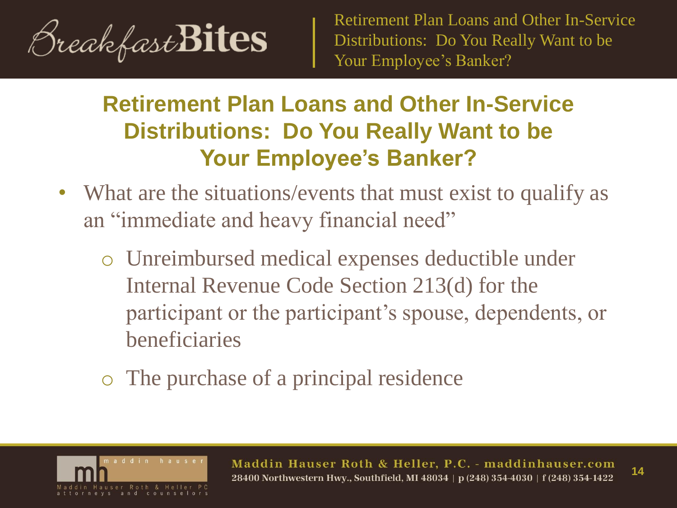

- What are the situations/events that must exist to qualify as an "immediate and heavy financial need"
	- o Unreimbursed medical expenses deductible under Internal Revenue Code Section 213(d) for the participant or the participant's spouse, dependents, or beneficiaries
	- o The purchase of a principal residence

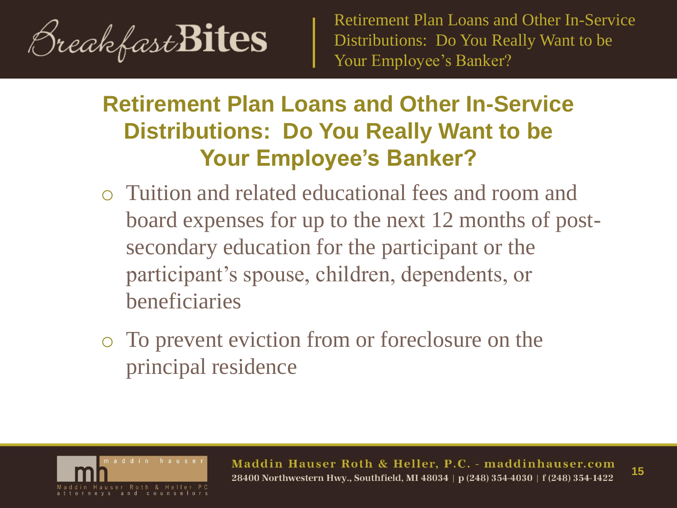

- o Tuition and related educational fees and room and board expenses for up to the next 12 months of postsecondary education for the participant or the participant's spouse, children, dependents, or beneficiaries
- o To prevent eviction from or foreclosure on the principal residence

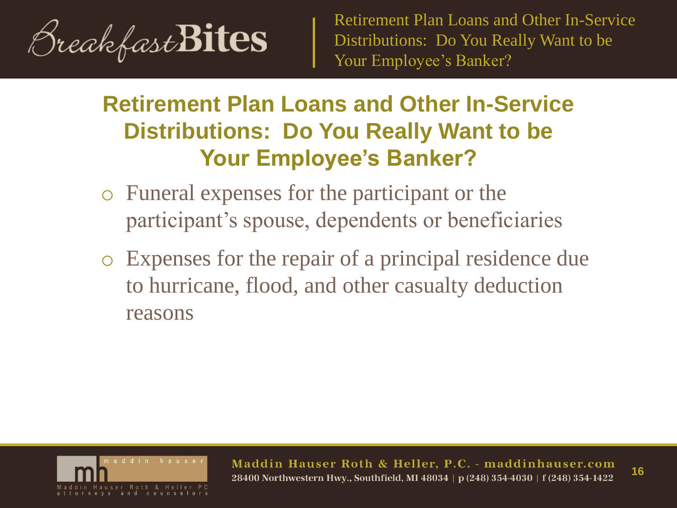

## **Retirement Plan Loans and Other In-Service Distributions: Do You Really Want to be Your Employee's Banker?**

- o Funeral expenses for the participant or the participant's spouse, dependents or beneficiaries
- o Expenses for the repair of a principal residence due to hurricane, flood, and other casualty deduction reasons



Maddin Hauser Roth & Heller, P.C. - maddinhauser.com **16**28400 Northwestern Hwv., Southfield, MI 48034 | p (248) 354-4030 | f (248) 354-1422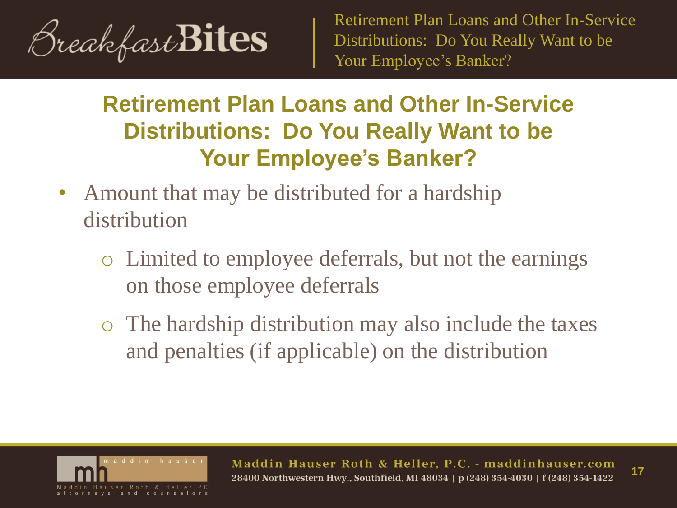

- Amount that may be distributed for a hardship distribution
	- o Limited to employee deferrals, but not the earnings on those employee deferrals
	- o The hardship distribution may also include the taxes and penalties (if applicable) on the distribution

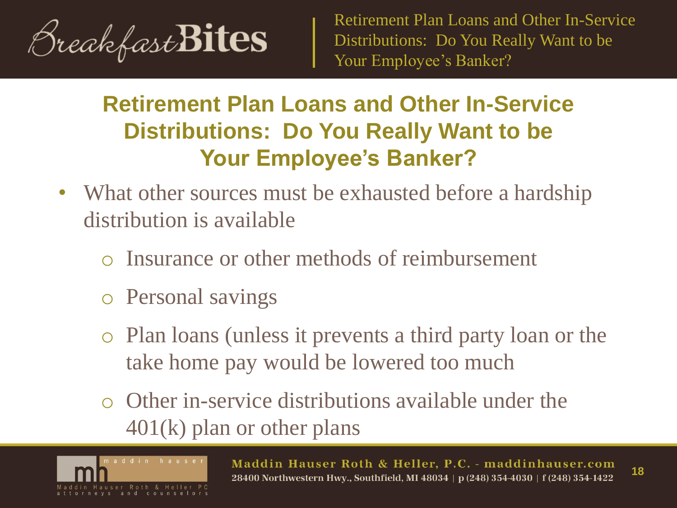

- What other sources must be exhausted before a hardship distribution is available
	- o Insurance or other methods of reimbursement
	- o Personal savings
	- o Plan loans (unless it prevents a third party loan or the take home pay would be lowered too much
	- $\circ$  Other in-service distributions available under the 401(k) plan or other plans

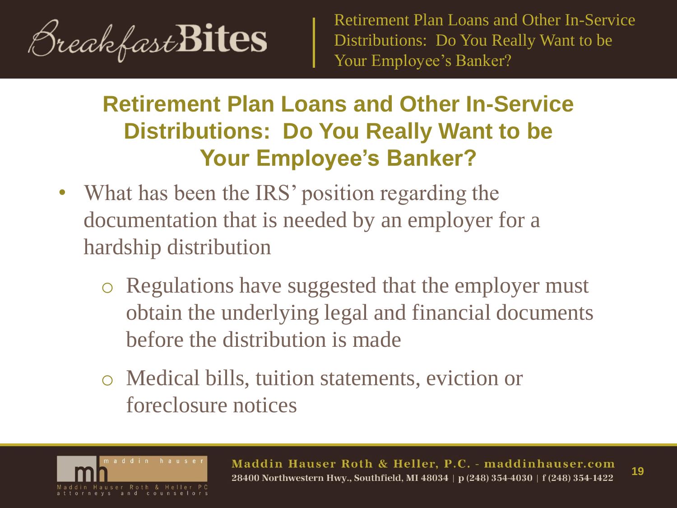

## **Retirement Plan Loans and Other In-Service Distributions: Do You Really Want to be Your Employee's Banker?**

- What has been the IRS' position regarding the documentation that is needed by an employer for a hardship distribution
	- o Regulations have suggested that the employer must obtain the underlying legal and financial documents before the distribution is made
	- o Medical bills, tuition statements, eviction or foreclosure notices



Maddin Hauser Roth & Heller, P.C. - maddinhauser.com **19**28400 Northwestern Hwy., Southfield, MI 48034 | p (248) 354-4030 | f (248) 354-1422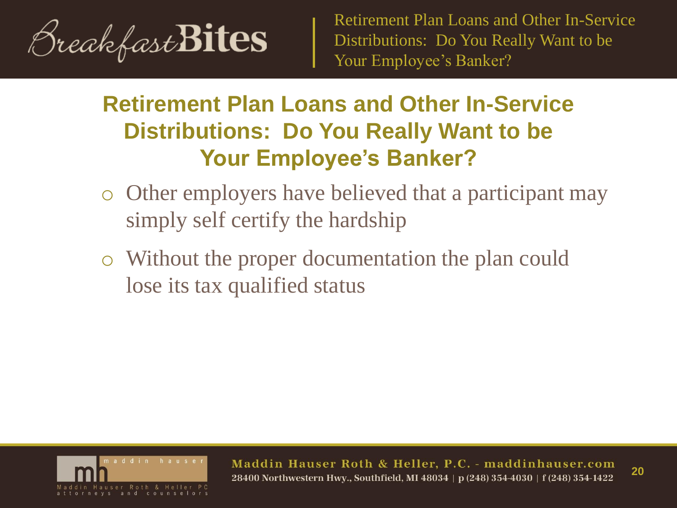

## **Retirement Plan Loans and Other In-Service Distributions: Do You Really Want to be Your Employee's Banker?**

- o Other employers have believed that a participant may simply self certify the hardship
- o Without the proper documentation the plan could lose its tax qualified status



Maddin Hauser Roth & Heller, P.C. - maddinhauser.com **20**28400 Northwestern Hwy., Southfield, MI 48034 | p (248) 354-4030 | f (248) 354-1422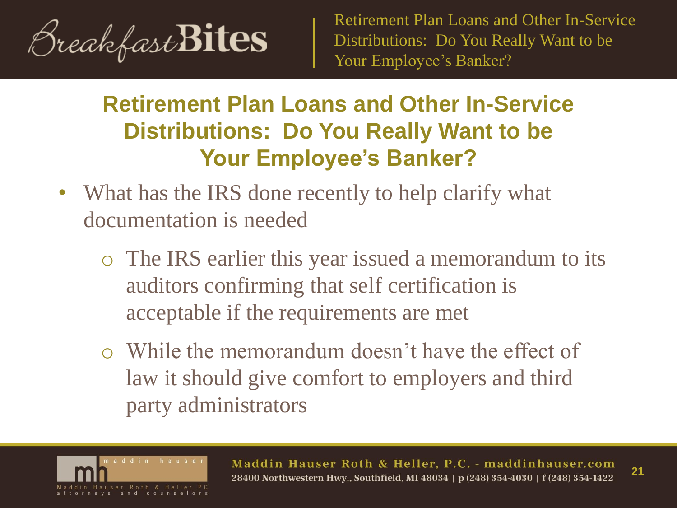

- What has the IRS done recently to help clarify what documentation is needed
	- o The IRS earlier this year issued a memorandum to its auditors confirming that self certification is acceptable if the requirements are met
	- o While the memorandum doesn't have the effect of law it should give comfort to employers and third party administrators

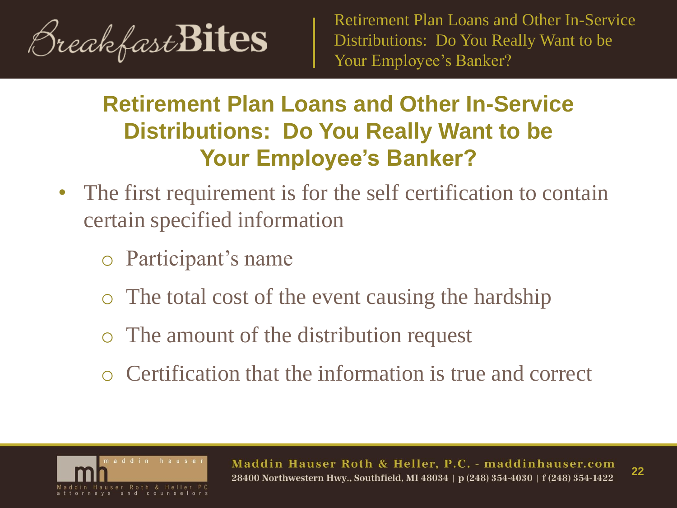

- The first requirement is for the self certification to contain certain specified information
	- o Participant's name
	- The total cost of the event causing the hardship
	- o The amount of the distribution request
	- o Certification that the information is true and correct

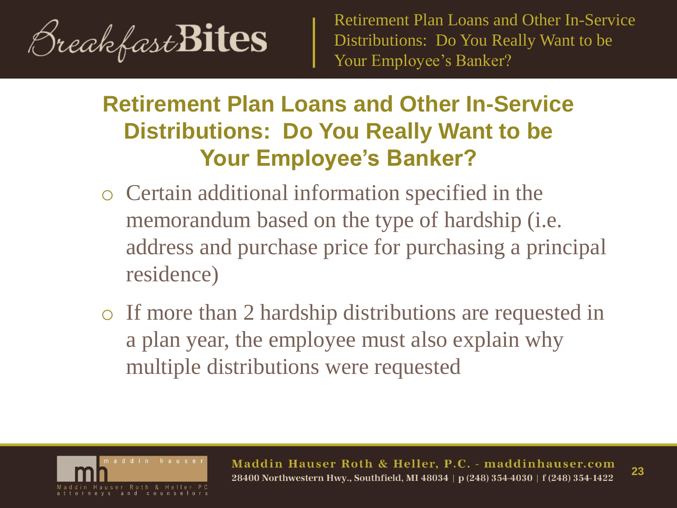

- o Certain additional information specified in the memorandum based on the type of hardship (i.e. address and purchase price for purchasing a principal residence)
- o If more than 2 hardship distributions are requested in a plan year, the employee must also explain why multiple distributions were requested

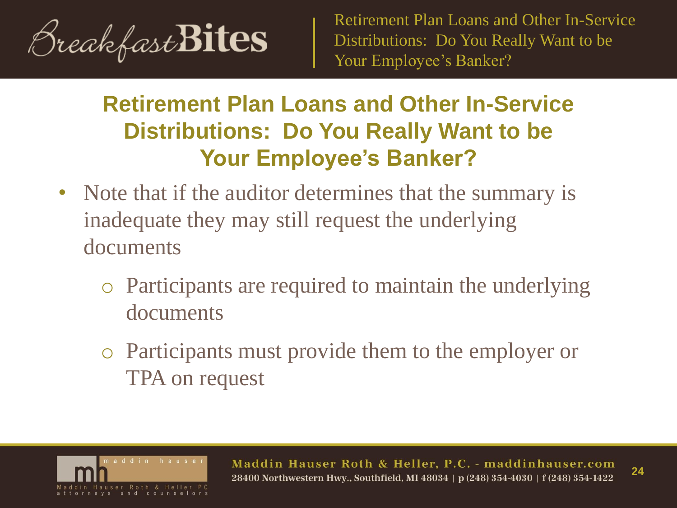

- Note that if the auditor determines that the summary is inadequate they may still request the underlying documents
	- o Participants are required to maintain the underlying documents
	- o Participants must provide them to the employer or TPA on request

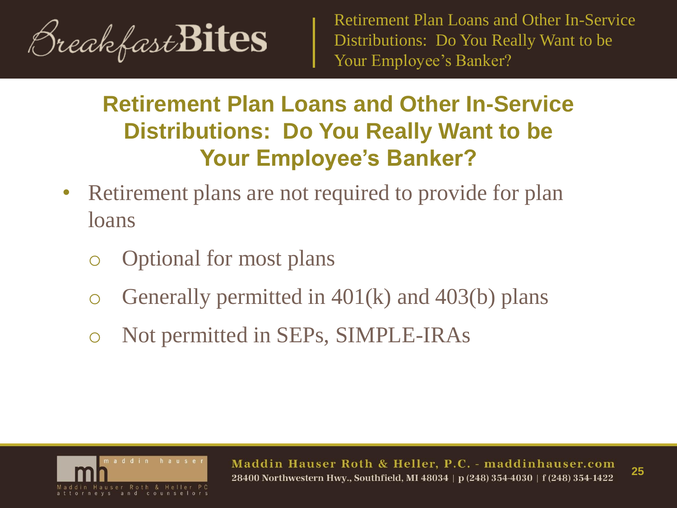

- Retirement plans are not required to provide for plan loans
	- Optional for most plans
	- Generally permitted in  $401(k)$  and  $403(b)$  plans
	- Not permitted in SEPs, SIMPLE-IRAs

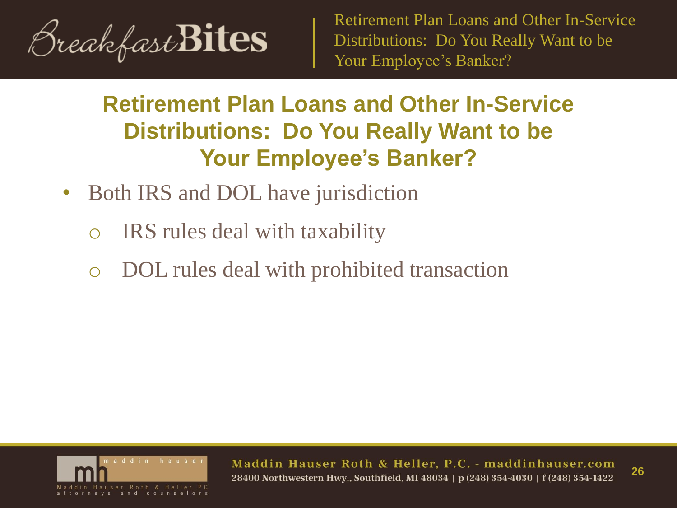

## **Retirement Plan Loans and Other In-Service Distributions: Do You Really Want to be Your Employee's Banker?**

- Both IRS and DOL have jurisdiction
	- o IRS rules deal with taxability
	- DOL rules deal with prohibited transaction



Maddin Hauser Roth & Heller, P.C. - maddinhauser.com **26** 28400 Northwestern Hwy., Southfield, MI 48034 | p (248) 354-4030 | f (248) 354-1422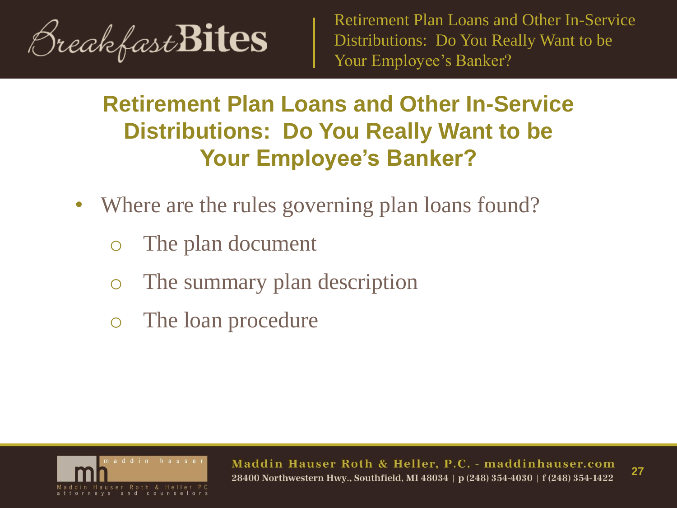

- Where are the rules governing plan loans found?
	- o The plan document
	- o The summary plan description
	- o The loan procedure

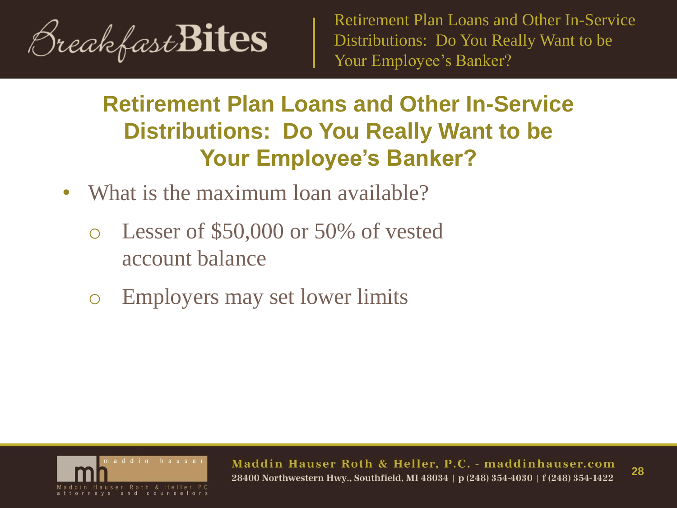

- What is the maximum loan available?
	- o Lesser of \$50,000 or 50% of vested account balance
	- o Employers may set lower limits

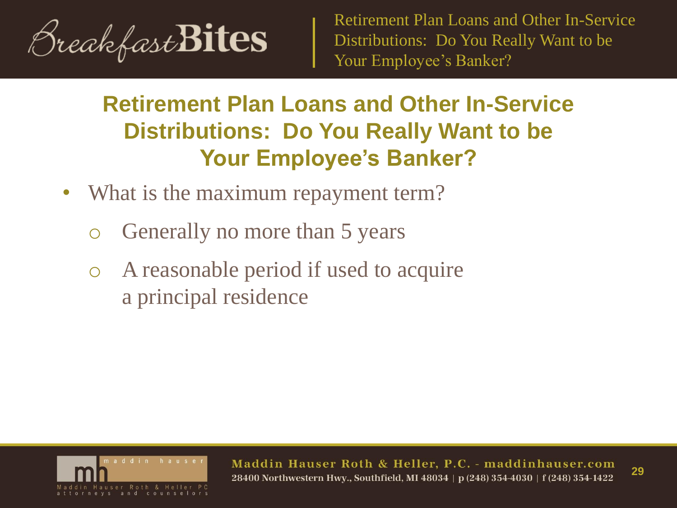

- What is the maximum repayment term?
	- o Generally no more than 5 years
	- o A reasonable period if used to acquire a principal residence

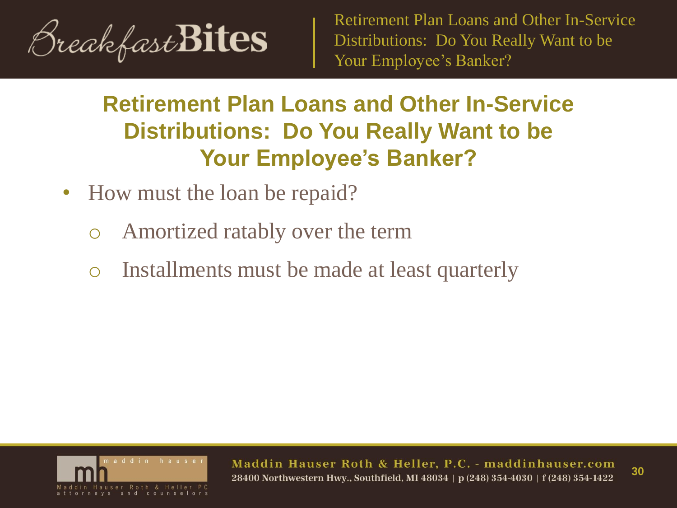

## **Retirement Plan Loans and Other In-Service Distributions: Do You Really Want to be Your Employee's Banker?**

- How must the loan be repaid?
	- o Amortized ratably over the term
	- o Installments must be made at least quarterly



Maddin Hauser Roth & Heller, P.C. - maddinhauser.com **30** 28400 Northwestern Hwy., Southfield, MI 48034 | p (248) 354-4030 | f (248) 354-1422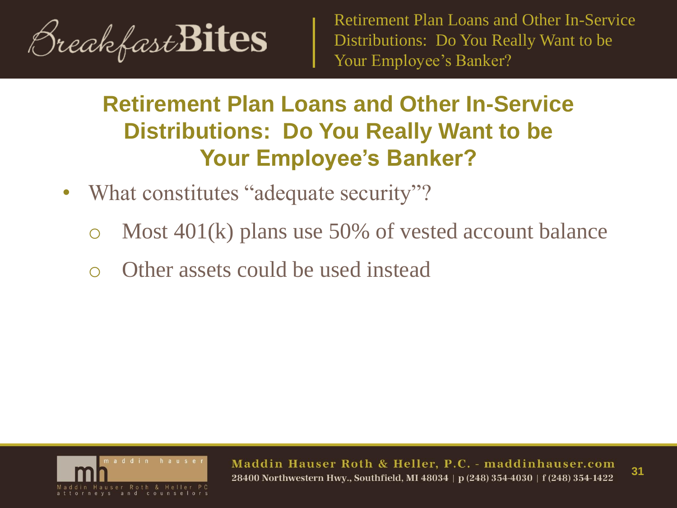

## **Retirement Plan Loans and Other In-Service Distributions: Do You Really Want to be Your Employee's Banker?**

- What constitutes "adequate security"?
	- o Most 401(k) plans use 50% of vested account balance
	- Other assets could be used instead



Maddin Hauser Roth & Heller, P.C. - maddinhauser.com **31** 28400 Northwestern Hwv., Southfield, MI 48034 | p (248) 354-4030 | f (248) 354-1422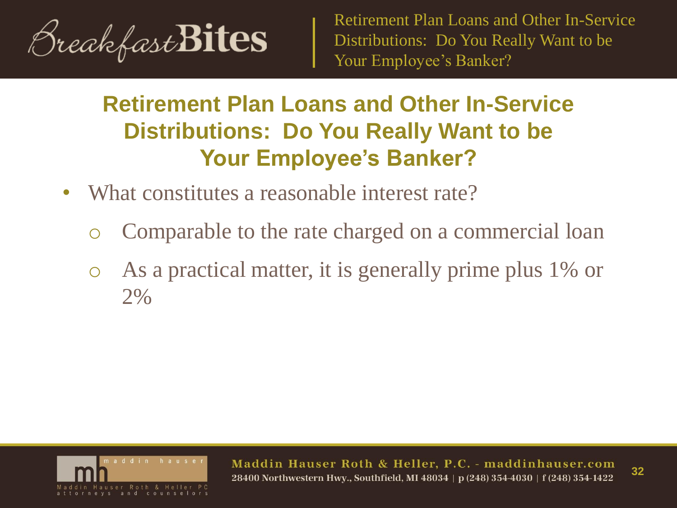

## **Retirement Plan Loans and Other In-Service Distributions: Do You Really Want to be Your Employee's Banker?**

- What constitutes a reasonable interest rate?
	- o Comparable to the rate charged on a commercial loan
	- As a practical matter, it is generally prime plus 1% or 2%



Maddin Hauser Roth & Heller, P.C. - maddinhauser.com **32** 28400 Northwestern Hwv., Southfield, MI 48034 | p (248) 354-4030 | f (248) 354-1422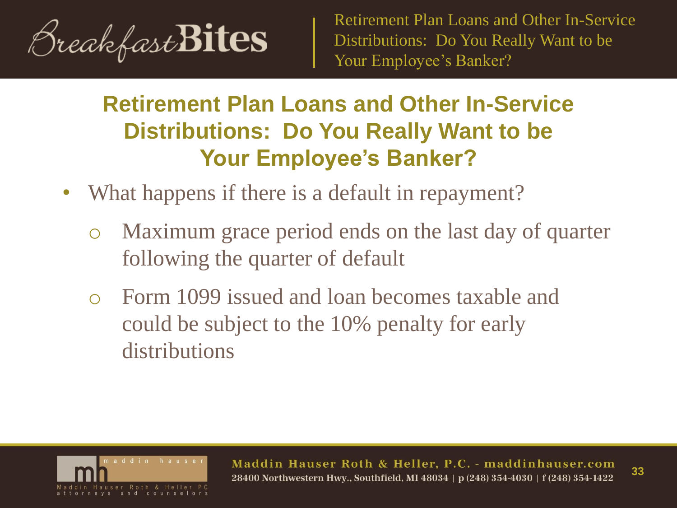

- What happens if there is a default in repayment?
	- o Maximum grace period ends on the last day of quarter following the quarter of default
	- o Form 1099 issued and loan becomes taxable and could be subject to the 10% penalty for early distributions

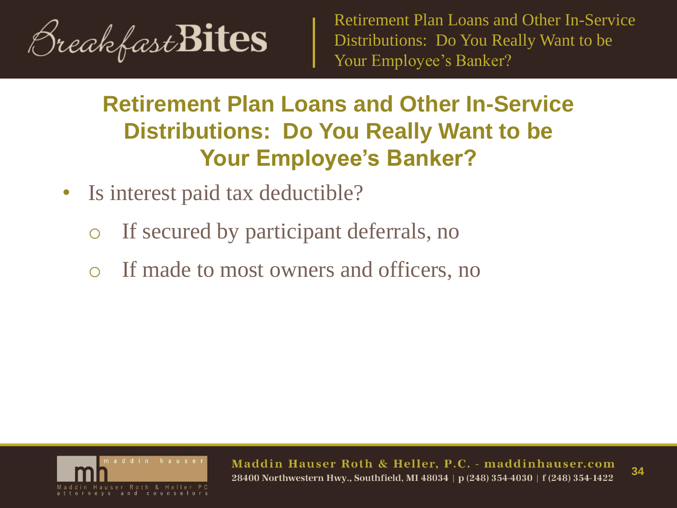

## **Retirement Plan Loans and Other In-Service Distributions: Do You Really Want to be Your Employee's Banker?**

- Is interest paid tax deductible?
	- o If secured by participant deferrals, no
	- If made to most owners and officers, no



Maddin Hauser Roth & Heller, P.C. - maddinhauser.com 28400 Northwestern Hwy., Southfield, MI 48034 | p (248) 354-4030 | f (248) 354-1422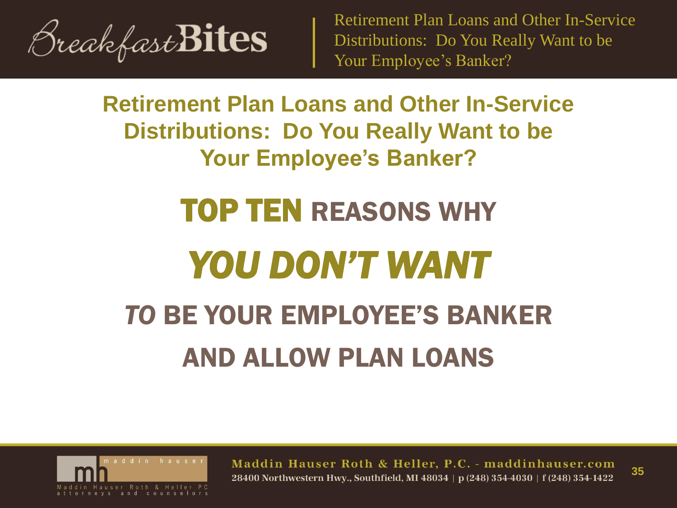

**Retirement Plan Loans and Other In-Service Distributions: Do You Really Want to be Your Employee's Banker?**

# TOP TEN REASONS WHY *YOU DON'T WANT TO* BE YOUR EMPLOYEE'S BANKER AND ALLOW PLAN LOANS



Maddin Hauser Roth & Heller, P.C. - maddinhauser.com **35** 28400 Northwestern Hwv., Southfield, MI 48034 | p (248) 354-4030 | f (248) 354-1422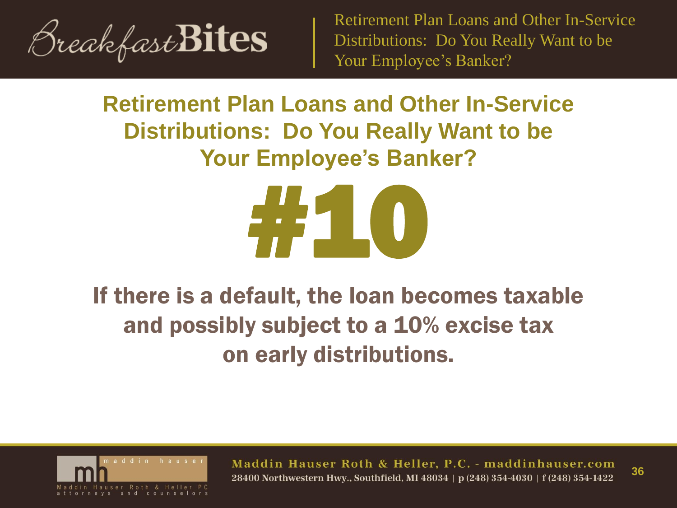

## **Retirement Plan Loans and Other In-Service Distributions: Do You Really Want to be Your Employee's Banker?**



## If there is a default, the loan becomes taxable and possibly subject to a 10% excise tax on early distributions.



Maddin Hauser Roth & Heller, P.C. - maddinhauser.com **36** 28400 Northwestern Hwv., Southfield, MI 48034 | p (248) 354-4030 | f (248) 354-1422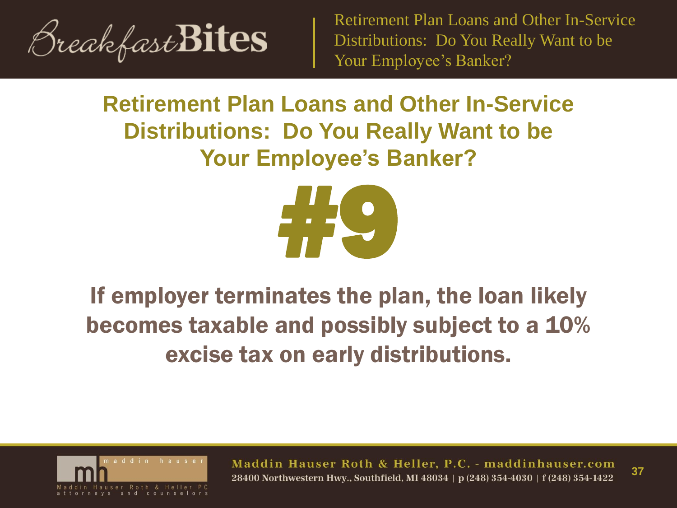

## **Retirement Plan Loans and Other In-Service Distributions: Do You Really Want to be Your Employee's Banker?**



## If employer terminates the plan, the loan likely becomes taxable and possibly subject to a 10% excise tax on early distributions.



Maddin Hauser Roth & Heller, P.C. - maddinhauser.com **37** 28400 Northwestern Hwv., Southfield, MI 48034 | p (248) 354-4030 | f (248) 354-1422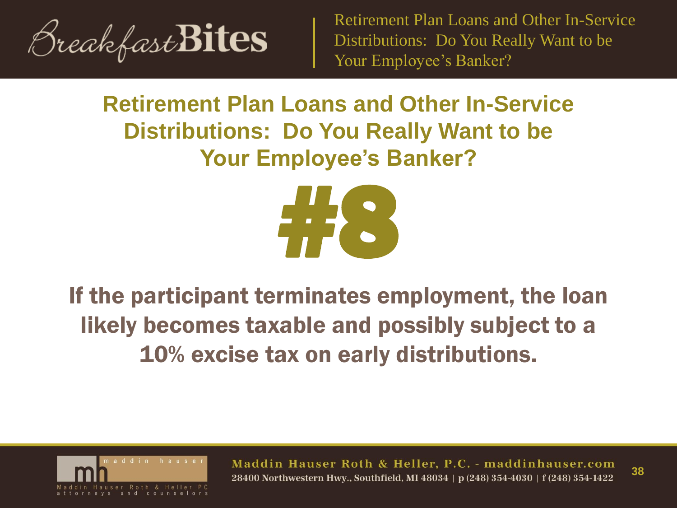

## **Retirement Plan Loans and Other In-Service Distributions: Do You Really Want to be Your Employee's Banker?**



## If the participant terminates employment, the loan likely becomes taxable and possibly subject to a 10% excise tax on early distributions.



Maddin Hauser Roth & Heller, P.C. - maddinhauser.com **38** 28400 Northwestern Hwv., Southfield, MI 48034 | p (248) 354-4030 | f (248) 354-1422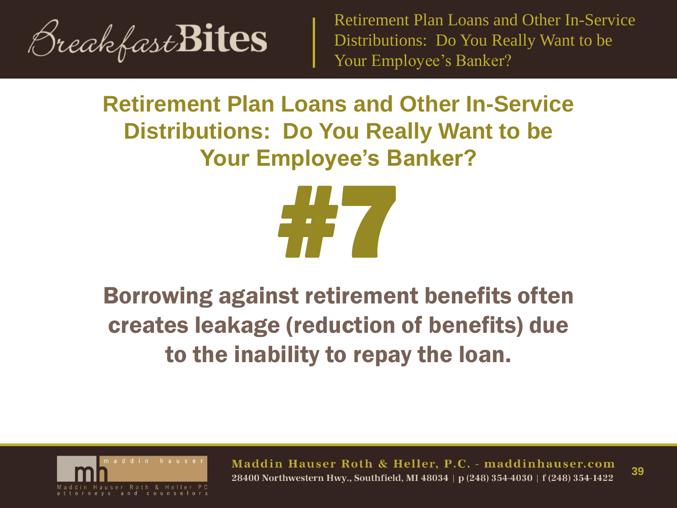

## **Retirement Plan Loans and Other In-Service Distributions: Do You Really Want to be Your Employee's Banker?**



## Borrowing against retirement benefits often creates leakage (reduction of benefits) due to the inability to repay the loan.



Maddin Hauser Roth & Heller, P.C. - maddinhauser.com **39** 28400 Northwestern Hwv., Southfield, MI 48034 | p (248) 354-4030 | f (248) 354-1422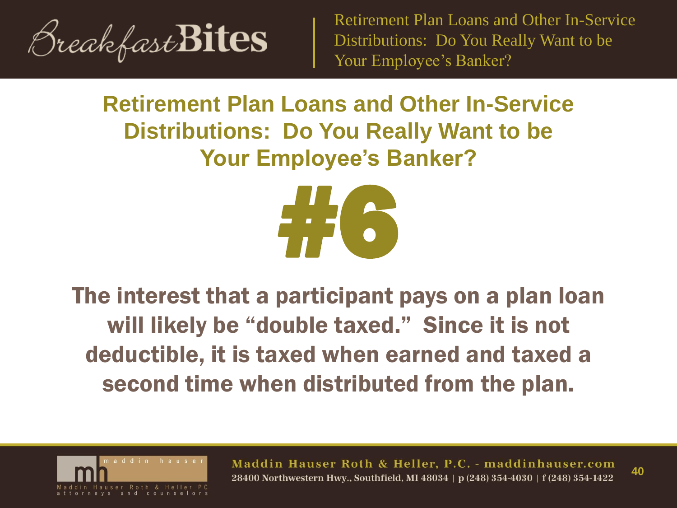

## **Retirement Plan Loans and Other In-Service Distributions: Do You Really Want to be Your Employee's Banker?**



The interest that a participant pays on a plan loan will likely be "double taxed." Since it is not deductible, it is taxed when earned and taxed a second time when distributed from the plan.



Maddin Hauser Roth & Heller, P.C. - maddinhauser.com **40** 28400 Northwestern Hwv., Southfield, MI 48034 | p (248) 354-4030 | f (248) 354-1422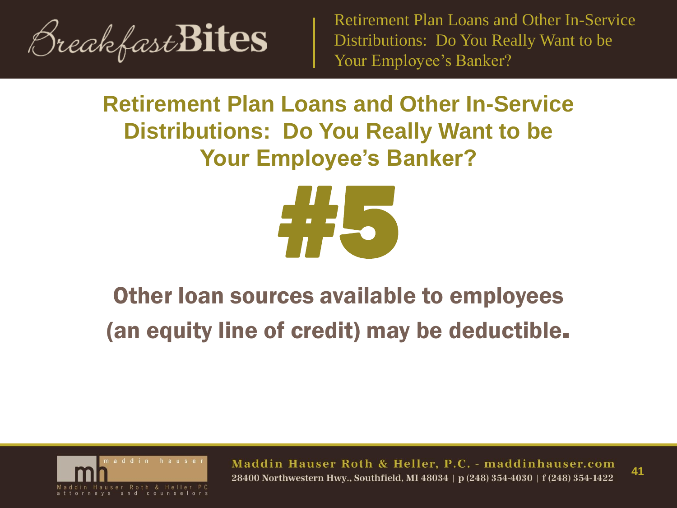

## **Retirement Plan Loans and Other In-Service Distributions: Do You Really Want to be Your Employee's Banker?**



## Other loan sources available to employees (an equity line of credit) may be deductible.



Maddin Hauser Roth & Heller, P.C. - maddinhauser.com **41** 28400 Northwestern Hwv., Southfield, MI 48034 | p (248) 354-4030 | f (248) 354-1422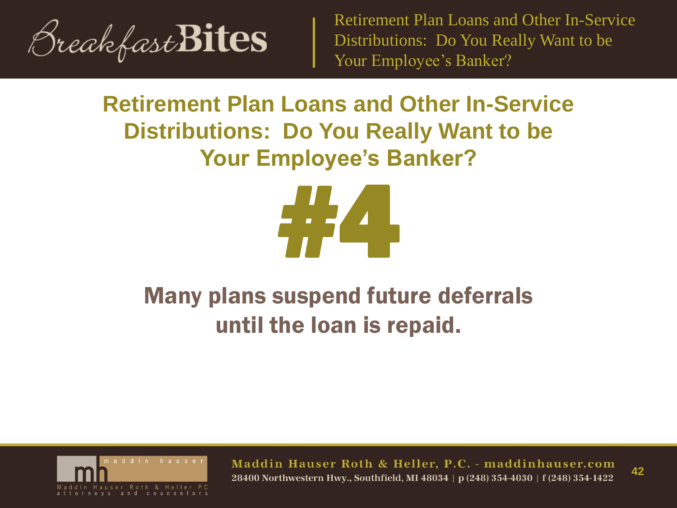

## **Retirement Plan Loans and Other In-Service Distributions: Do You Really Want to be Your Employee's Banker?**



## Many plans suspend future deferrals until the loan is repaid.



Maddin Hauser Roth & Heller, P.C. - maddinhauser.com 28400 Northwestern Hwy., Southfield, MI 48034 | p (248) 354-4030 | f (248) 354-1422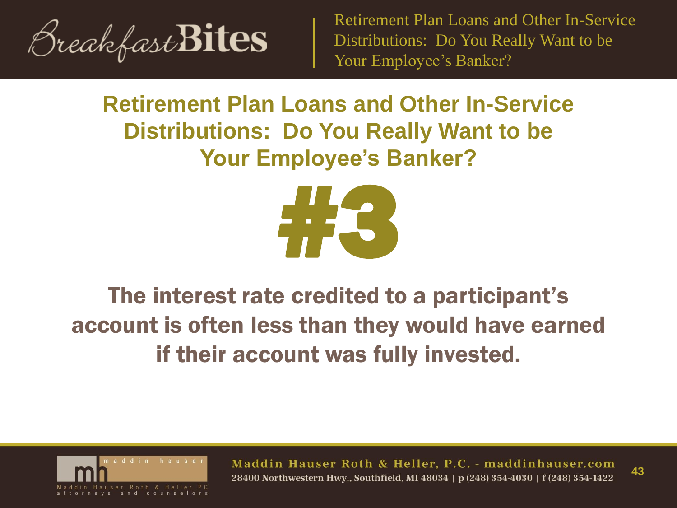

## **Retirement Plan Loans and Other In-Service Distributions: Do You Really Want to be Your Employee's Banker?**



## The interest rate credited to a participant's account is often less than they would have earned if their account was fully invested.



Maddin Hauser Roth & Heller, P.C. - maddinhauser.com **43** 28400 Northwestern Hwy., Southfield, MI 48034 | p (248) 354-4030 | f (248) 354-1422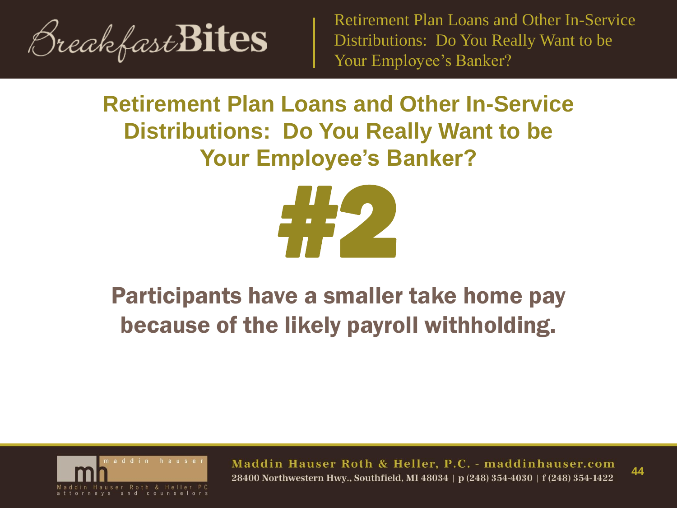

## **Retirement Plan Loans and Other In-Service Distributions: Do You Really Want to be Your Employee's Banker?**



## Participants have a smaller take home pay because of the likely payroll withholding.



Maddin Hauser Roth & Heller, P.C. - maddinhauser.com **44** 28400 Northwestern Hwy., Southfield, MI 48034 | p (248) 354-4030 | f (248) 354-1422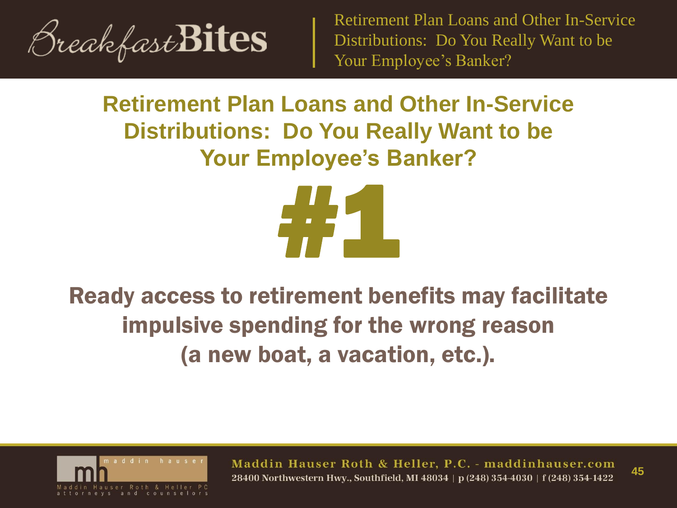

## **Retirement Plan Loans and Other In-Service Distributions: Do You Really Want to be Your Employee's Banker?**



Ready access to retirement benefits may facilitate impulsive spending for the wrong reason (a new boat, a vacation, etc.).



Maddin Hauser Roth & Heller, P.C. - maddinhauser.com **45** 28400 Northwestern Hwy., Southfield, MI 48034 | p (248) 354-4030 | f (248) 354-1422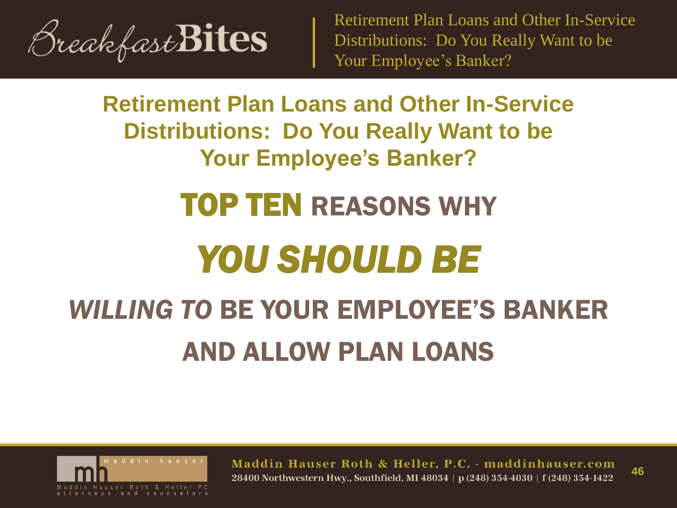

**Retirement Plan Loans and Other In-Service Distributions: Do You Really Want to be Your Employee's Banker?**

## TOP TEN REASONS WHY

## *YOU SHOULD BE*

## *WILLING TO* BE YOUR EMPLOYEE'S BANKER AND ALLOW PLAN LOANS



Maddin Hauser Roth & Heller, P.C. - maddinhauser.com **46** 28400 Northwestern Hwy., Southfield, MI 48034 | p (248) 354-4030 | f (248) 354-1422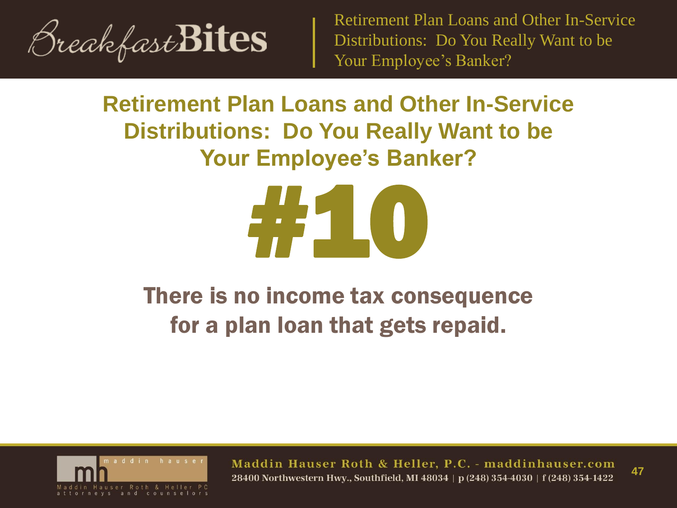

## **Retirement Plan Loans and Other In-Service Distributions: Do You Really Want to be Your Employee's Banker?**



## There is no income tax consequence for a plan loan that gets repaid.



Maddin Hauser Roth & Heller, P.C. - maddinhauser.com 28400 Northwestern Hwy., Southfield, MI 48034 | p (248) 354-4030 | f (248) 354-1422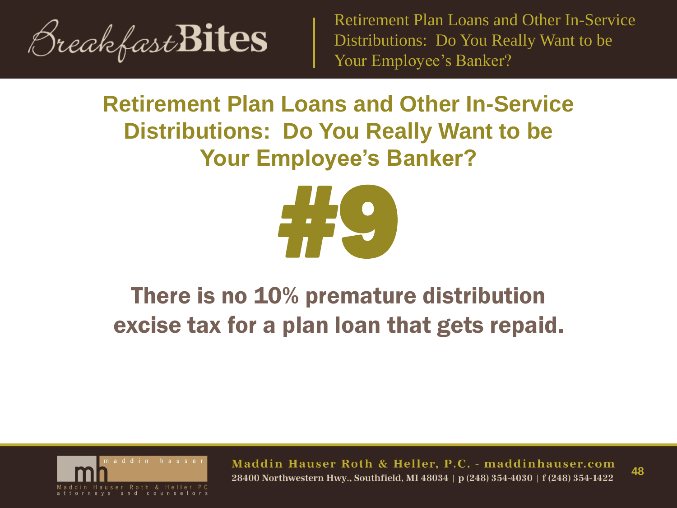

## **Retirement Plan Loans and Other In-Service Distributions: Do You Really Want to be Your Employee's Banker?**



## There is no 10% premature distribution excise tax for a plan loan that gets repaid.



Maddin Hauser Roth & Heller, P.C. - maddinhauser.com 28400 Northwestern Hwy., Southfield, MI 48034 | p (248) 354-4030 | f (248) 354-1422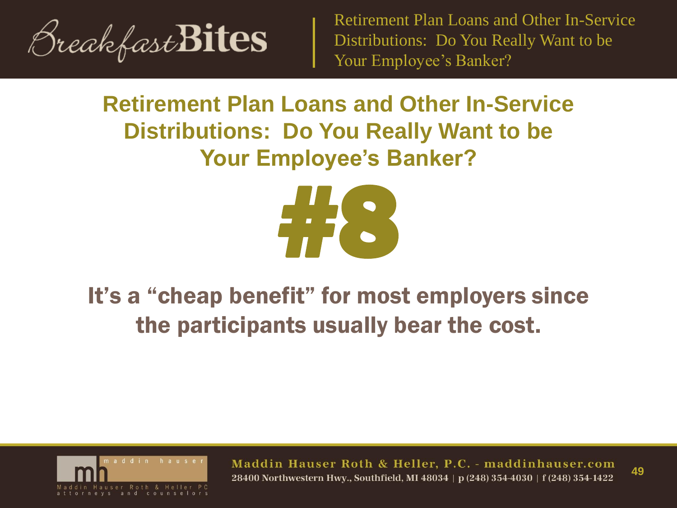

## **Retirement Plan Loans and Other In-Service Distributions: Do You Really Want to be Your Employee's Banker?**



## It's a "cheap benefit" for most employers since the participants usually bear the cost.



Maddin Hauser Roth & Heller, P.C. - maddinhauser.com **49** 28400 Northwestern Hwv., Southfield, MI 48034 | p (248) 354-4030 | f (248) 354-1422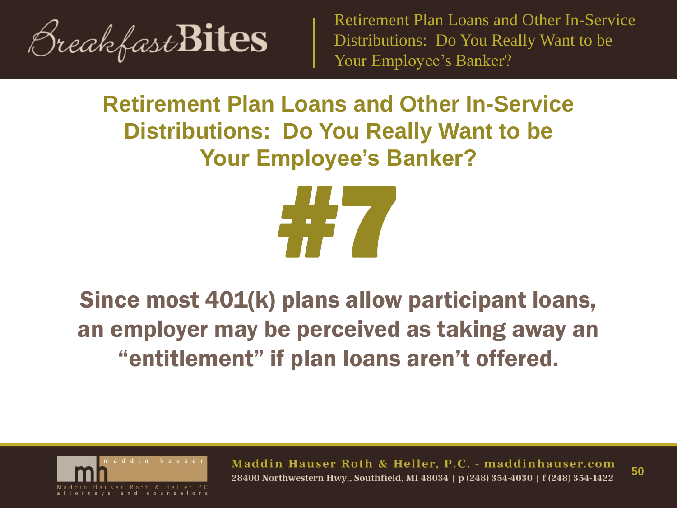

## **Retirement Plan Loans and Other In-Service Distributions: Do You Really Want to be Your Employee's Banker?**



## Since most 401(k) plans allow participant loans, an employer may be perceived as taking away an "entitlement" if plan loans aren't offered.



Maddin Hauser Roth & Heller, P.C. - maddinhauser.com **50** 28400 Northwestern Hwv., Southfield, MI 48034 | p (248) 354-4030 | f (248) 354-1422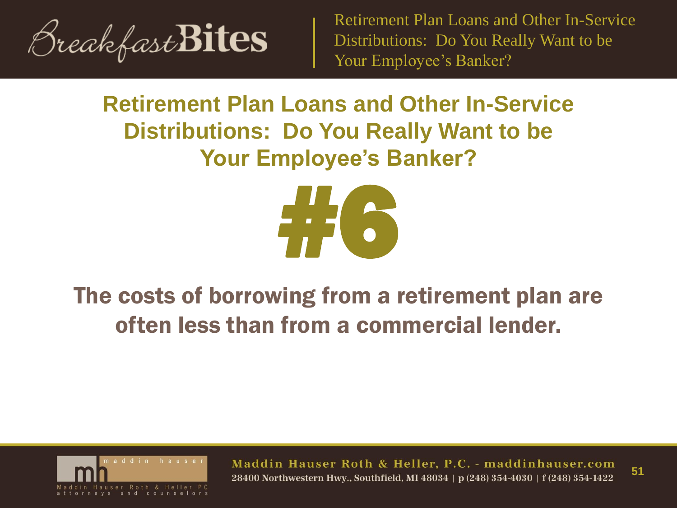

## **Retirement Plan Loans and Other In-Service Distributions: Do You Really Want to be Your Employee's Banker?**



## The costs of borrowing from a retirement plan are often less than from a commercial lender.



Maddin Hauser Roth & Heller, P.C. - maddinhauser.com **51** 28400 Northwestern Hwv., Southfield, MI 48034 | p (248) 354-4030 | f (248) 354-1422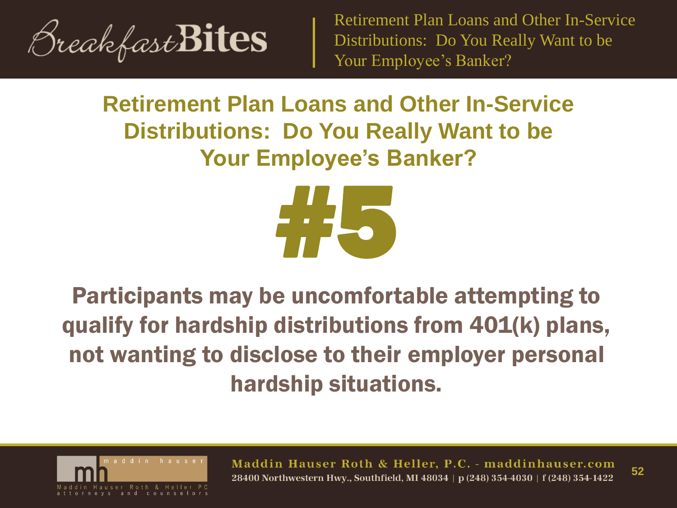

## **Retirement Plan Loans and Other In-Service Distributions: Do You Really Want to be Your Employee's Banker?**



Participants may be uncomfortable attempting to qualify for hardship distributions from 401(k) plans, not wanting to disclose to their employer personal hardship situations.



Maddin Hauser Roth & Heller, P.C. - maddinhauser.com **52** 28400 Northwestern Hwv., Southfield, MI 48034 | p (248) 354-4030 | f (248) 354-1422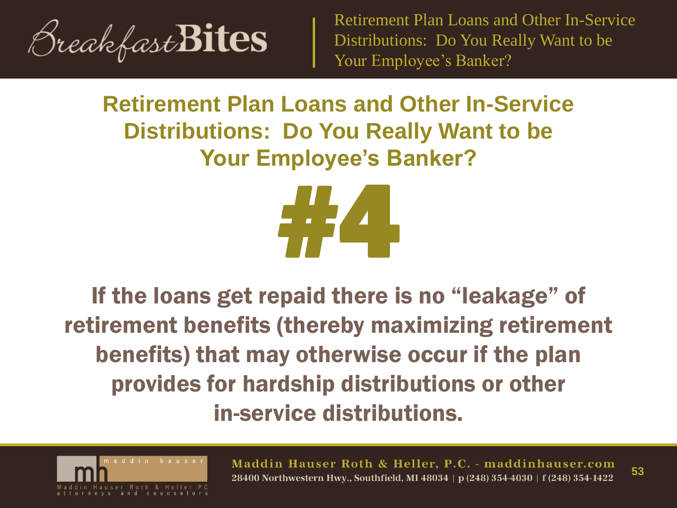

## **Retirement Plan Loans and Other In-Service Distributions: Do You Really Want to be Your Employee's Banker?**



If the loans get repaid there is no "leakage" of retirement benefits (thereby maximizing retirement benefits) that may otherwise occur if the plan provides for hardship distributions or other in-service distributions.



Maddin Hauser Roth & Heller, P.C. - maddinhauser.com **53** 28400 Northwestern Hwv., Southfield, MI 48034 | p (248) 354-4030 | f (248) 354-1422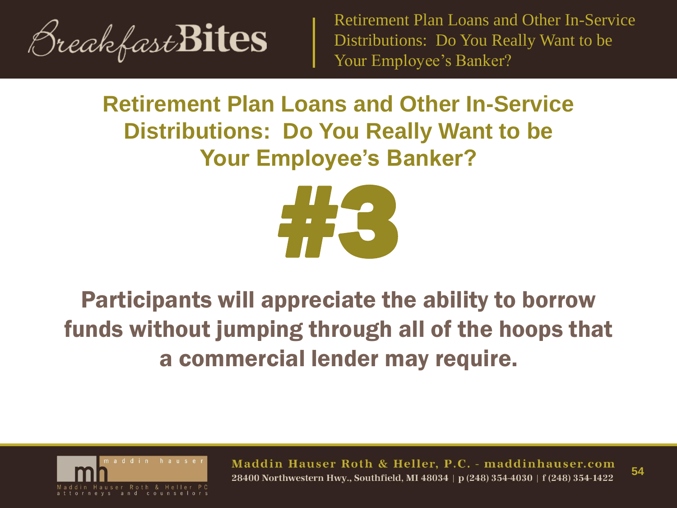

## **Retirement Plan Loans and Other In-Service Distributions: Do You Really Want to be Your Employee's Banker?**



## Participants will appreciate the ability to borrow funds without jumping through all of the hoops that a commercial lender may require.



Maddin Hauser Roth & Heller, P.C. - maddinhauser.com **54** 28400 Northwestern Hwy., Southfield, MI 48034 | p (248) 354-4030 | f (248) 354-1422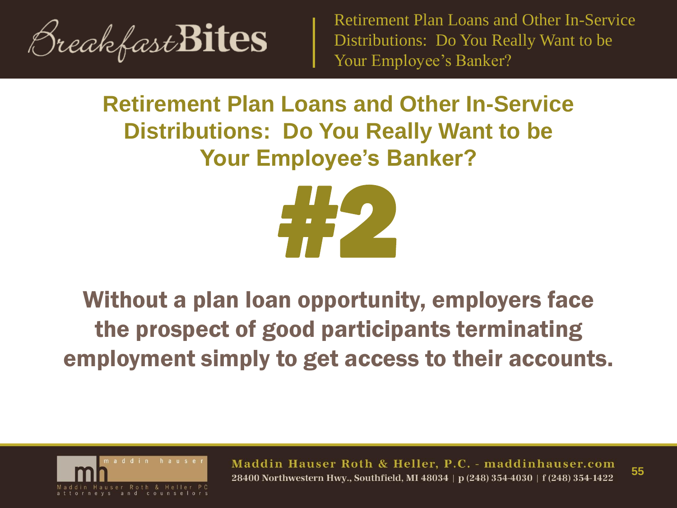

## **Retirement Plan Loans and Other In-Service Distributions: Do You Really Want to be Your Employee's Banker?**



## Without a plan loan opportunity, employers face the prospect of good participants terminating employment simply to get access to their accounts.



Maddin Hauser Roth & Heller, P.C. - maddinhauser.com **55** 28400 Northwestern Hwy., Southfield, MI 48034 | p (248) 354-4030 | f (248) 354-1422